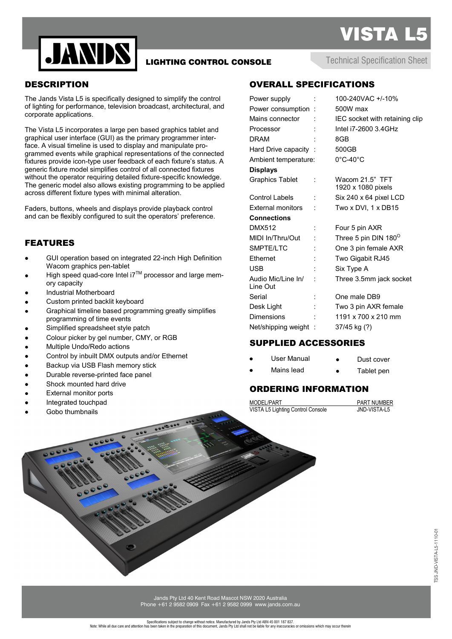



## LIGHTING CONTROL CONSOLE

Technical Specification Sheet

### **DESCRIPTION**

The Jands Vista L5 is specifically designed to simplify the control of lighting for performance, television broadcast, architectural, and corporate applications.

The Vista L5 incorporates a large pen based graphics tablet and graphical user interface (GUI) as the primary programmer interface. A visual timeline is used to display and manipulate programmed events while graphical representations of the connected fixtures provide icon-type user feedback of each fixture's status. A generic fixture model simplifies control of all connected fixtures without the operator requiring detailed fixture-specific knowledge. The generic model also allows existing programming to be applied across different fixture types with minimal alteration.

Faders, buttons, wheels and displays provide playback control and can be flexibly configured to suit the operators' preference.

#### FEATURES

- GUI operation based on integrated 22-inch High Definition Wacom graphics pen-tablet
- High speed quad-core Intel i7™ processor and large memory capacity
- Industrial Motherboard
- Custom printed backlit keyboard
- Graphical timeline based programming greatly simplifies programming of time events
- Simplified spreadsheet style patch
- Colour picker by gel number, CMY, or RGB
- Multiple Undo/Redo actions
- Control by inbuilt DMX outputs and/or Ethernet
- Backup via USB Flash memory stick
- Durable reverse-printed face panel
- Shock mounted hard drive
- External monitor ports
- Integrated touchpad
- Gobo thumbnails

# OVERALL SPECIFICATIONS

| Power supply                   |   | 100-240VAC +/-10%                     |  |
|--------------------------------|---|---------------------------------------|--|
| Power consumption:             |   | 500W max                              |  |
| Mains connector                |   | IEC socket with retaining clip        |  |
| Processor                      |   | Intel i7-2600 3.4GHz                  |  |
| <b>DRAM</b>                    |   | 8GB                                   |  |
| Hard Drive capacity :          |   | 500GB                                 |  |
| Ambient temperature:           |   | $0^{\circ}$ C-40 $^{\circ}$ C         |  |
| <b>Displays</b>                |   |                                       |  |
| <b>Graphics Tablet</b>         | ÷ | Wacom 21.5" TFT<br>1920 x 1080 pixels |  |
| <b>Control Labels</b>          |   | Six 240 x 64 pixel LCD                |  |
| External monitors              |   | Two x DVI, 1 x DB15                   |  |
| <b>Connections</b>             |   |                                       |  |
| <b>DMX512</b>                  |   | Four 5 pin AXR                        |  |
| MIDI In/Thru/Out               |   | Three 5 pin DIN 180 <sup>0</sup>      |  |
| SMPTE/LTC                      |   | One 3 pin female AXR                  |  |
| Ethernet                       |   | Two Gigabit RJ45                      |  |
| USB                            |   | Six Type A                            |  |
| Audio Mic/Line In/<br>Line Out |   | Three 3.5mm jack socket               |  |
| Serial                         |   | One male DB9                          |  |
| Desk Light                     |   | Two 3 pin AXR female                  |  |
| Dimensions                     |   | 1191 x 700 x 210 mm                   |  |
| Net/shipping weight:           |   | 37/45 kg (?)                          |  |
|                                |   |                                       |  |

### SUPPLIED ACCESSORIES

| User Manual | Dust cover |
|-------------|------------|
| Mains lead  | Tablet pen |

Tablet pen

#### ORDERING INFORMATION

MODEL/PART<br>VISTA L5 Lighting Control Console<br>VISTA L5 Lighting Control Console<br> VISTA L5 Lighting Control Console

Jands Pty Ltd 40 Kent Road Mascot NSW 2020 Australia Phone +61 2 9582 0909 Fax +61 2 9582 0999 www.jands.com.au